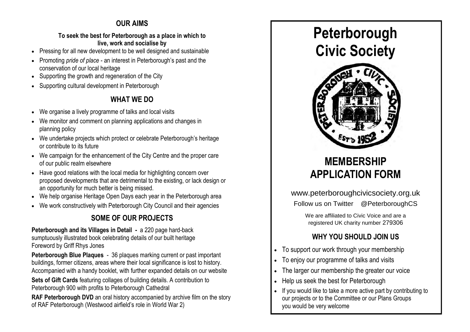## **OUR AIMS**

### **To seek the best for Peterborough as a place in which to live, work and socialise by**

- Pressing for all new development to be well designed and sustainable
- Promoting *pride of place*  an interest in Peterborough's past and the conservation of our local heritage
- Supporting the growth and regeneration of the City
- Supporting cultural development in Peterborough

## **WHAT WE DO**

- We organise a lively programme of talks and local visits
- We monitor and comment on planning applications and changes in planning policy
- We undertake projects which protect or celebrate Peterborough's heritage or contribute to its future
- We campaign for the enhancement of the City Centre and the proper care of our public realm elsewhere
- Have good relations with the local media for highlighting concern over proposed developments that are detrimental to the existing, or lack design or an opportunity for much better is being missed.
- We help organise Heritage Open Days each year in the Peterborough area
- We work constructively with Peterborough City Council and their agencies

## **SOME OF OUR PROJECTS**

**Peterborough and its Villages in Detail -** a 220 page hard-back sumptuously illustrated book celebrating details of our built heritage Foreword by Griff Rhys Jones

**Peterborough Blue Plaques** - 36 plaques marking current or past important buildings, former citizens, areas where their local significance is lost to history. Accompanied with a handy booklet, with further expanded details on our website **Sets of Gift Cards** featuring collages of building details. A contribution to

Peterborough 900 with profits to Peterborough Cathedral

**RAF Peterborough DVD** an oral history accompanied by archive film on the story of RAF Peterborough (Westwood airfield's role in World War 2)





# **MEMBERSHIP APPLICATION FORM**

www.peterboroughcivicsociety.org.uk

Follow us on Twitter @PeterboroughCS

We are affiliated to Civic Voice and are a registered UK charity number 279306

## **WHY YOU SHOULD JOIN US**

- To support our work through your membership
- To enjoy our programme of talks and visits
- The larger our membership the greater our voice
- Help us seek the best for Peterborough
- If you would like to take a more active part by contributing to our projects or to the Committee or our Plans Groups you would be very welcome